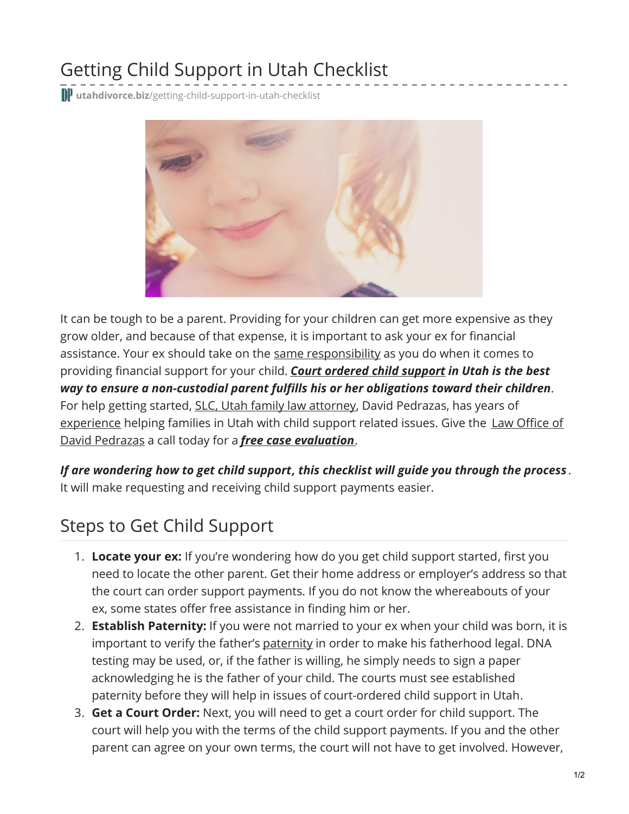## Getting Child Support in Utah Checklist

**utahdivorce.biz**[/getting-child-support-in-utah-checklist](https://utahdivorce.biz/getting-child-support-in-utah-checklist/)



It can be tough to be a parent. Providing for your children can get more expensive as they grow older, and because of that expense, it is important to ask your ex for financial assistance. Your ex should take on the same [responsibility](https://utahdivorce.biz/six-important-myths-facts-child-support/) as you do when it comes to providing financial support for your child. *Court [ordered](https://utahdivorce.biz/Child-Support/index.html) child support in Utah is the best way to ensure a non-custodial parent fulfills his or her obligations toward their children*. For help getting started, SLC, Utah family law [attorney](https://utahdivorce.biz/Family-Law/index.html), David Pedrazas, has years of [experienc](https://utahdivorce.biz/Why-Choose-David-Pedrazas.shtml)[e](https://utahdivorce.biz/) helping families in Utah with child support related issues. Give the Law Office of David Pedrazas a call today for a *free case [evaluation](https://utahdivorce.biz/Free-Case-Evaluation.shtml).*

*If are wondering how to get child support, this checklist will guide you through the process* . It will make requesting and receiving child support payments easier.

## Steps to Get Child Support

- 1. **Locate your ex:** If you're wondering how do you get child support started, first you need to locate the other parent. Get their home address or employer's address so that the court can order support payments. If you do not know the whereabouts of your ex, some states offer free assistance in finding him or her.
- 2. **Establish Paternity:** If you were not married to your ex when your child was born, it is important to verify the father's [paternity](https://utahdivorce.biz/Child-Custody/Paternity.shtml) in order to make his fatherhood legal. DNA testing may be used, or, if the father is willing, he simply needs to sign a paper acknowledging he is the father of your child. The courts must see established paternity before they will help in issues of court-ordered child support in Utah.
- 3. **Get a Court Order:** Next, you will need to get a court order for child support. The court will help you with the terms of the child support payments. If you and the other parent can agree on your own terms, the court will not have to get involved. However,